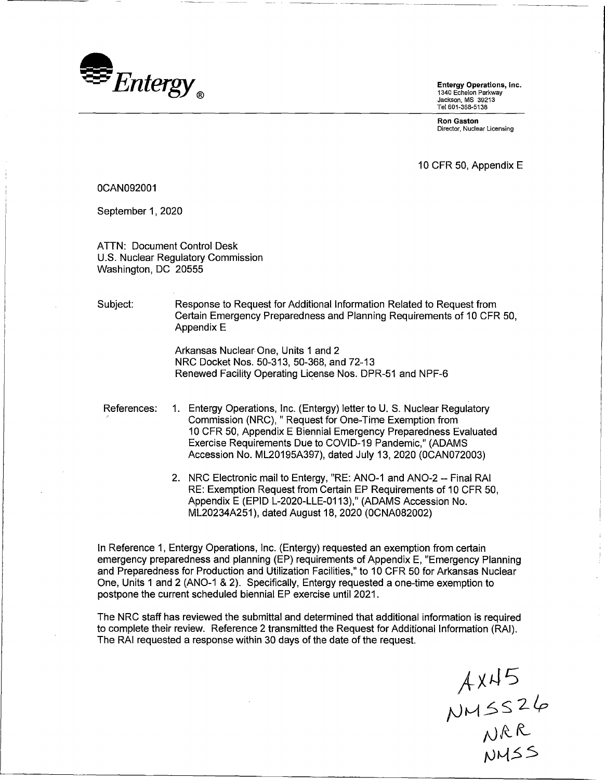

1340 Echelon Parkway Jackson, MS 39213 Tel 601-368-5138

**Ron Gaston**  Director, Nuclear Licensing

10 CFR 50, Appendix E

## 0CAN092001

September 1, 2020

ATTN: Document Control Desk U.S. Nuclear Regulatory Commission Washington, DC 20555

Subject: Response to Request for Additional Information Related to Request from Certain Emergency Preparedness and Planning Requirements of 10 CFR 50, Appendix E

> Arkansas Nuclear One, Units 1 and 2 NRC Docket Nos. 50-313, 50-368, and 72-13 Renewed Facility Operating License Nos. DPR-51 and NPF-6

References: 1. Entergy Operations, Inc. (Entergy) letter to U. S. Nuclear Regulatory Commission (NRC), "Request for One-Time Exemption from 10 CFR 50, Appendix E Biennial Emergency Preparedness Evaluated Exercise Requirements Due to COVID-19 Pandemic," (ADAMS Accession No. ML20195A397), dated July 13, 2020 (0CAN072003)

> 2. NRC Electronic mail to Entergy, "RE: ANO-1 and ANO-2 -- Final RAI RE: Exemption Request from Certain EP Requirements of 10 CFR 50, Appendix E (EPID L-2020-LLE-0113)," (ADAMS Accession No. ML20234A251 ), dated August 18, 2020 (0CNA082002)

In Reference 1, Entergy Operations, Inc. (Entergy) requested an exemption from certain emergency preparedness and planning (EP) requirements of Appendix E, "Emergency Planning and Preparedness for Production and Utilization Facilities," to 10 CFR 50 for Arkansas Nuclear One, Units 1 and 2 (ANO-1 & 2). Specifically, Entergy requested a one-time exemption to postpone the current scheduled biennial EP exercise until 2021.

The NRC staff has reviewed the submittal and determined that additional information is required to complete their review. Reference 2 transmitted the Request for Additional Information (RAI). The RAI requested a response within 30 days of the date of the request.

 $A$ X45  $NMSS26$ NRR  $NMSS$